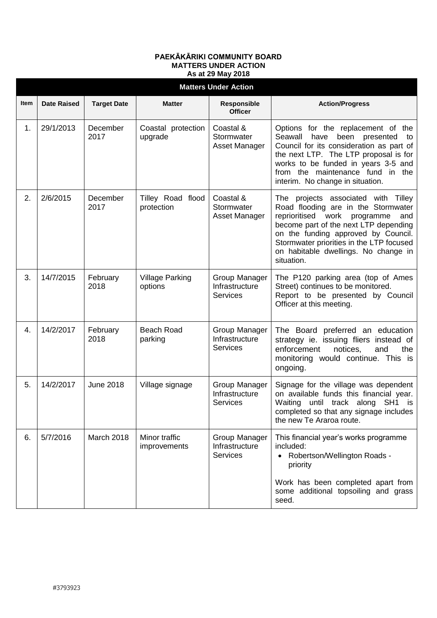## **PAEKĀKĀRIKI COMMUNITY BOARD MATTERS UNDER ACTION As at 29 May 2018**

|      | <b>Matters Under Action</b> |                    |                                   |                                                    |                                                                                                                                                                                                                                                                                                           |  |  |  |  |
|------|-----------------------------|--------------------|-----------------------------------|----------------------------------------------------|-----------------------------------------------------------------------------------------------------------------------------------------------------------------------------------------------------------------------------------------------------------------------------------------------------------|--|--|--|--|
| Item | <b>Date Raised</b>          | <b>Target Date</b> | <b>Matter</b>                     | Responsible<br><b>Officer</b>                      | <b>Action/Progress</b>                                                                                                                                                                                                                                                                                    |  |  |  |  |
| 1.   | 29/1/2013                   | December<br>2017   | Coastal protection<br>upgrade     | Coastal &<br>Stormwater<br>Asset Manager           | Options for the replacement of the<br>Seawall<br>have<br>been presented<br>to<br>Council for its consideration as part of<br>the next LTP. The LTP proposal is for<br>works to be funded in years 3-5 and<br>from the maintenance fund in the<br>interim. No change in situation.                         |  |  |  |  |
| 2.   | 2/6/2015                    | December<br>2017   | Tilley Road flood<br>protection   | Coastal &<br>Stormwater<br>Asset Manager           | The projects associated with Tilley<br>Road flooding are in the Stormwater<br>reprioritised<br>work<br>programme<br>and<br>become part of the next LTP depending<br>on the funding approved by Council.<br>Stormwater priorities in the LTP focused<br>on habitable dwellings. No change in<br>situation. |  |  |  |  |
| 3.   | 14/7/2015                   | February<br>2018   | <b>Village Parking</b><br>options | Group Manager<br>Infrastructure<br><b>Services</b> | The P120 parking area (top of Ames<br>Street) continues to be monitored.<br>Report to be presented by Council<br>Officer at this meeting.                                                                                                                                                                 |  |  |  |  |
| 4.   | 14/2/2017                   | February<br>2018   | <b>Beach Road</b><br>parking      | Group Manager<br>Infrastructure<br><b>Services</b> | The Board preferred an education<br>strategy ie. issuing fliers instead of<br>enforcement<br>notices,<br>and<br>the<br>monitoring would continue. This is<br>ongoing.                                                                                                                                     |  |  |  |  |
| 5.   | 14/2/2017                   | <b>June 2018</b>   | Village signage                   | Group Manager<br>Infrastructure<br><b>Services</b> | Signage for the village was dependent<br>on available funds this financial year.<br>until track along<br>SH <sub>1</sub><br>Waiting<br>is i<br>completed so that any signage includes<br>the new Te Araroa route.                                                                                         |  |  |  |  |
| 6.   | 5/7/2016                    | March 2018         | Minor traffic<br>improvements     | Group Manager<br>Infrastructure<br><b>Services</b> | This financial year's works programme<br>included:<br>Robertson/Wellington Roads -<br>priority<br>Work has been completed apart from                                                                                                                                                                      |  |  |  |  |
|      |                             |                    |                                   |                                                    | some additional topsoiling and grass<br>seed.                                                                                                                                                                                                                                                             |  |  |  |  |